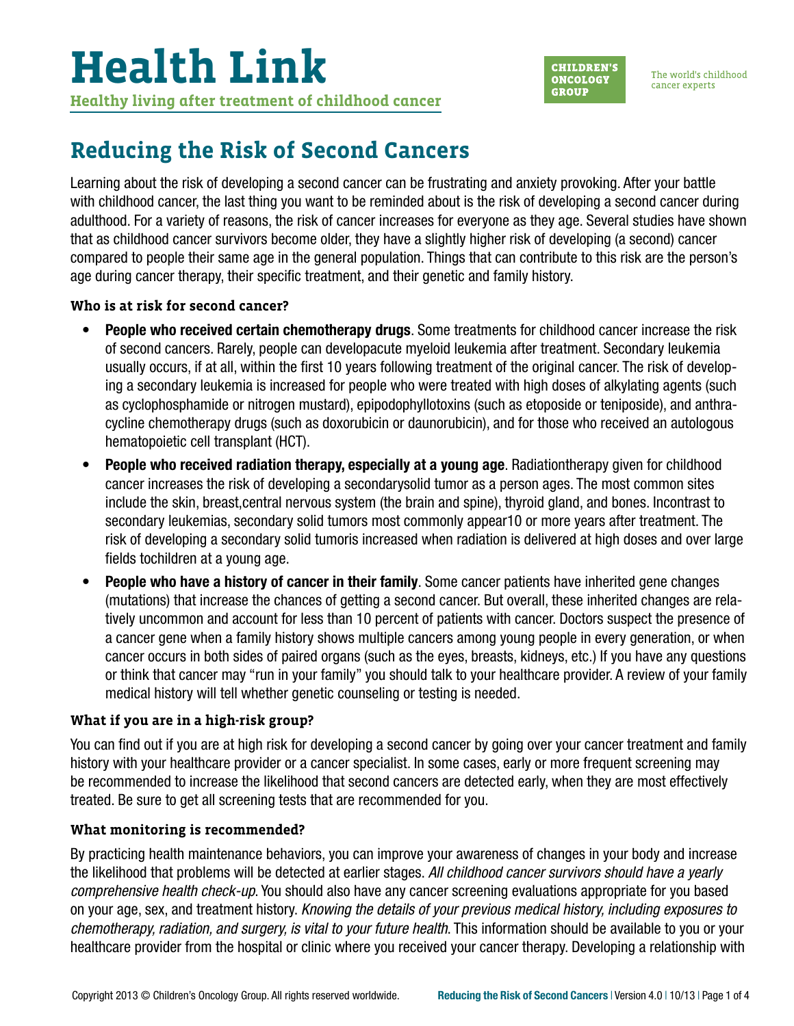**CHILDREN'S ONCOLOGY GROUP** 

The world's childhood cancer experts

### **Reducing the Risk of Second Cancers**

Learning about the risk of developing a second cancer can be frustrating and anxiety provoking. After your battle with childhood cancer, the last thing you want to be reminded about is the risk of developing a second cancer during adulthood. For a variety of reasons, the risk of cancer increases for everyone as they age. Several studies have shown that as childhood cancer survivors become older, they have a slightly higher risk of developing (a second) cancer compared to people their same age in the general population. Things that can contribute to this risk are the person's age during cancer therapy, their specific treatment, and their genetic and family history.

#### **Who is at risk for second cancer?**

- People who received certain chemotherapy drugs. Some treatments for childhood cancer increase the risk of second cancers. Rarely, people can developacute myeloid leukemia after treatment. Secondary leukemia usually occurs, if at all, within the first 10 years following treatment of the original cancer. The risk of developing a secondary leukemia is increased for people who were treated with high doses of alkylating agents (such as cyclophosphamide or nitrogen mustard), epipodophyllotoxins (such as etoposide or teniposide), and anthracycline chemotherapy drugs (such as doxorubicin or daunorubicin), and for those who received an autologous hematopoietic cell transplant (HCT).
- People who received radiation therapy, especially at a young age. Radiationtherapy given for childhood cancer increases the risk of developing a secondarysolid tumor as a person ages. The most common sites include the skin, breast,central nervous system (the brain and spine), thyroid gland, and bones. Incontrast to secondary leukemias, secondary solid tumors most commonly appear10 or more years after treatment. The risk of developing a secondary solid tumoris increased when radiation is delivered at high doses and over large fields tochildren at a young age.
- **People who have a history of cancer in their family.** Some cancer patients have inherited gene changes (mutations) that increase the chances of getting a second cancer. But overall, these inherited changes are relatively uncommon and account for less than 10 percent of patients with cancer. Doctors suspect the presence of a cancer gene when a family history shows multiple cancers among young people in every generation, or when cancer occurs in both sides of paired organs (such as the eyes, breasts, kidneys, etc.) If you have any questions or think that cancer may "run in your family" you should talk to your healthcare provider. A review of your family medical history will tell whether genetic counseling or testing is needed.

### **What if you are in a high-risk group?**

You can find out if you are at high risk for developing a second cancer by going over your cancer treatment and family history with your healthcare provider or a cancer specialist. In some cases, early or more frequent screening may be recommended to increase the likelihood that second cancers are detected early, when they are most effectively treated. Be sure to get all screening tests that are recommended for you.

### **What monitoring is recommended?**

By practicing health maintenance behaviors, you can improve your awareness of changes in your body and increase the likelihood that problems will be detected at earlier stages. *All childhood cancer survivors should have a yearly comprehensive health check-up*. You should also have any cancer screening evaluations appropriate for you based on your age, sex, and treatment history. *Knowing the details of your previous medical history, including exposures to chemotherapy, radiation, and surgery, is vital to your future health*. This information should be available to you or your healthcare provider from the hospital or clinic where you received your cancer therapy. Developing a relationship with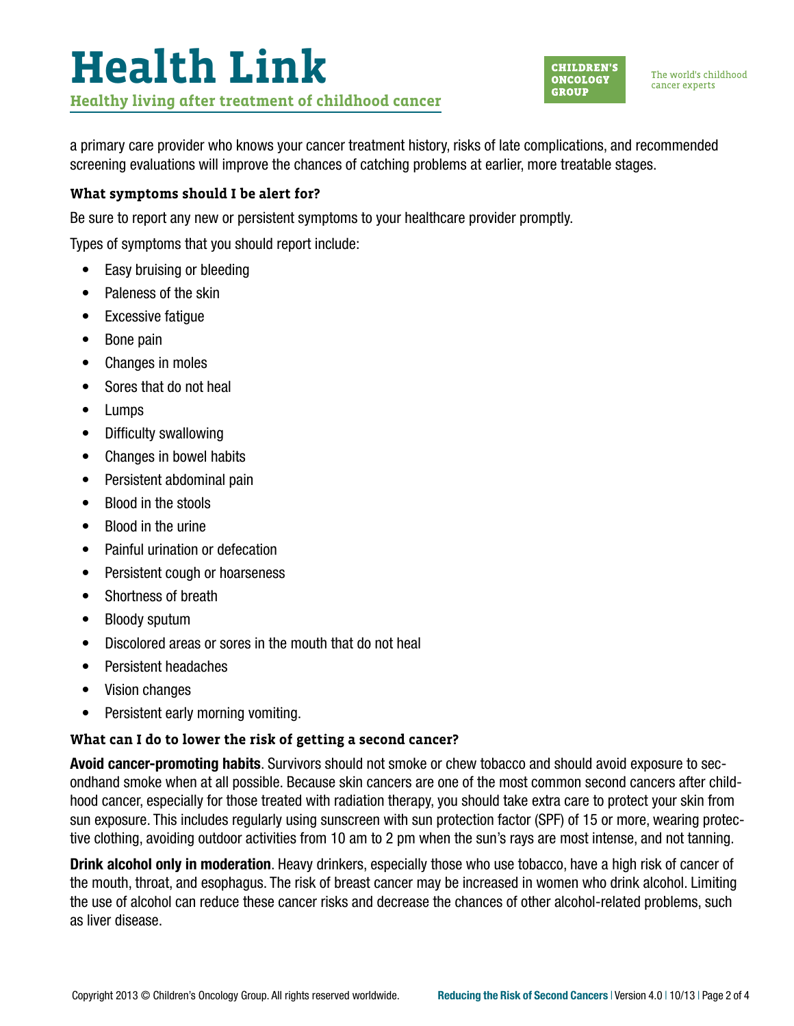# **Health Link Healthy living after treatment of childhood cancer**



The world's childhood cancer experts

a primary care provider who knows your cancer treatment history, risks of late complications, and recommended screening evaluations will improve the chances of catching problems at earlier, more treatable stages.

#### **What symptoms should I be alert for?**

Be sure to report any new or persistent symptoms to your healthcare provider promptly.

Types of symptoms that you should report include:

- Easy bruising or bleeding
- Paleness of the skin
- Excessive fatigue
- Bone pain
- Changes in moles
- Sores that do not heal
- Lumps
- Difficulty swallowing
- Changes in bowel habits
- Persistent abdominal pain
- Blood in the stools
- Blood in the urine
- Painful urination or defecation
- Persistent cough or hoarseness
- Shortness of breath
- Bloody sputum
- Discolored areas or sores in the mouth that do not heal
- Persistent headaches
- Vision changes
- Persistent early morning vomiting.

#### **What can I do to lower the risk of getting a second cancer?**

Avoid cancer-promoting habits. Survivors should not smoke or chew tobacco and should avoid exposure to secondhand smoke when at all possible. Because skin cancers are one of the most common second cancers after childhood cancer, especially for those treated with radiation therapy, you should take extra care to protect your skin from sun exposure. This includes regularly using sunscreen with sun protection factor (SPF) of 15 or more, wearing protective clothing, avoiding outdoor activities from 10 am to 2 pm when the sun's rays are most intense, and not tanning.

Drink alcohol only in moderation. Heavy drinkers, especially those who use tobacco, have a high risk of cancer of the mouth, throat, and esophagus. The risk of breast cancer may be increased in women who drink alcohol. Limiting the use of alcohol can reduce these cancer risks and decrease the chances of other alcohol-related problems, such as liver disease.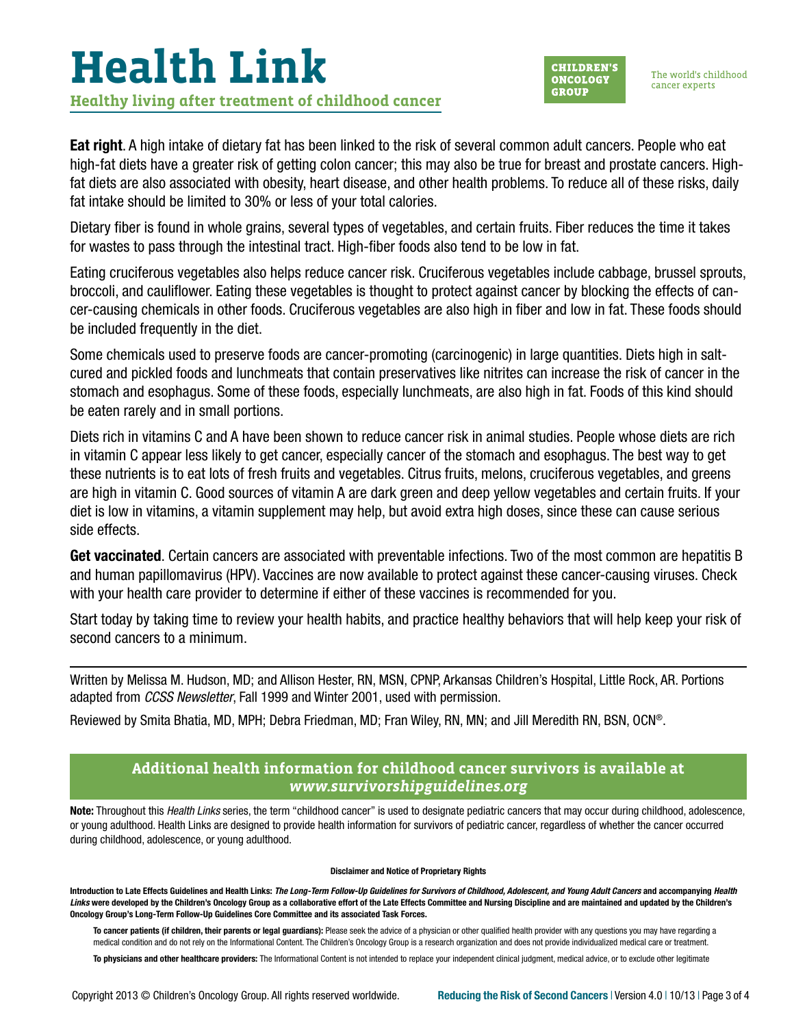## **Health Link Healthy living after treatment of childhood cancer**



The world's childhood cancer experts

Eat right. A high intake of dietary fat has been linked to the risk of several common adult cancers. People who eat high-fat diets have a greater risk of getting colon cancer; this may also be true for breast and prostate cancers. Highfat diets are also associated with obesity, heart disease, and other health problems. To reduce all of these risks, daily fat intake should be limited to 30% or less of your total calories.

Dietary fiber is found in whole grains, several types of vegetables, and certain fruits. Fiber reduces the time it takes for wastes to pass through the intestinal tract. High-fiber foods also tend to be low in fat.

Eating cruciferous vegetables also helps reduce cancer risk. Cruciferous vegetables include cabbage, brussel sprouts, broccoli, and cauliflower. Eating these vegetables is thought to protect against cancer by blocking the effects of cancer-causing chemicals in other foods. Cruciferous vegetables are also high in fiber and low in fat. These foods should be included frequently in the diet.

Some chemicals used to preserve foods are cancer-promoting (carcinogenic) in large quantities. Diets high in saltcured and pickled foods and lunchmeats that contain preservatives like nitrites can increase the risk of cancer in the stomach and esophagus. Some of these foods, especially lunchmeats, are also high in fat. Foods of this kind should be eaten rarely and in small portions.

Diets rich in vitamins C and A have been shown to reduce cancer risk in animal studies. People whose diets are rich in vitamin C appear less likely to get cancer, especially cancer of the stomach and esophagus. The best way to get these nutrients is to eat lots of fresh fruits and vegetables. Citrus fruits, melons, cruciferous vegetables, and greens are high in vitamin C. Good sources of vitamin A are dark green and deep yellow vegetables and certain fruits. If your diet is low in vitamins, a vitamin supplement may help, but avoid extra high doses, since these can cause serious side effects.

Get vaccinated. Certain cancers are associated with preventable infections. Two of the most common are hepatitis B and human papillomavirus (HPV). Vaccines are now available to protect against these cancer-causing viruses. Check with your health care provider to determine if either of these vaccines is recommended for you.

Start today by taking time to review your health habits, and practice healthy behaviors that will help keep your risk of second cancers to a minimum.

Written by Melissa M. Hudson, MD; and Allison Hester, RN, MSN, CPNP, Arkansas Children's Hospital, Little Rock, AR. Portions adapted from *CCSS Newsletter*, Fall 1999 and Winter 2001, used with permission.

Reviewed by Smita Bhatia, MD, MPH; Debra Friedman, MD; Fran Wiley, RN, MN; and Jill Meredith RN, BSN, OCN®.

#### **Additional health information for childhood cancer survivors is available at**  *[www.survivorshipguidelines.org](http://www.survivorshipguidelines.org)*

Note: Throughout this *Health Links* series, the term "childhood cancer" is used to designate pediatric cancers that may occur during childhood, adolescence, or young adulthood. Health Links are designed to provide health information for survivors of pediatric cancer, regardless of whether the cancer occurred during childhood, adolescence, or young adulthood.

#### Disclaimer and Notice of Proprietary Rights

Introduction to Late Effects Guidelines and Health Links: *The Long-Term Follow-Up Guidelines for Survivors of Childhood, Adolescent, and Young Adult Cancers* and accompanying *Health*  Links were developed by the Children's Oncology Group as a collaborative effort of the Late Effects Committee and Nursing Discipline and are maintained and updated by the Children's Oncology Group's Long-Term Follow-Up Guidelines Core Committee and its associated Task Forces.

To cancer patients (if children, their parents or legal quardians): Please seek the advice of a physician or other qualified health provider with any questions you may have regarding a medical condition and do not rely on the Informational Content. The Children's Oncology Group is a research organization and does not provide individualized medical care or treatment.

To physicians and other healthcare providers: The Informational Content is not intended to replace your independent clinical judgment, medical advice, or to exclude other legitimate